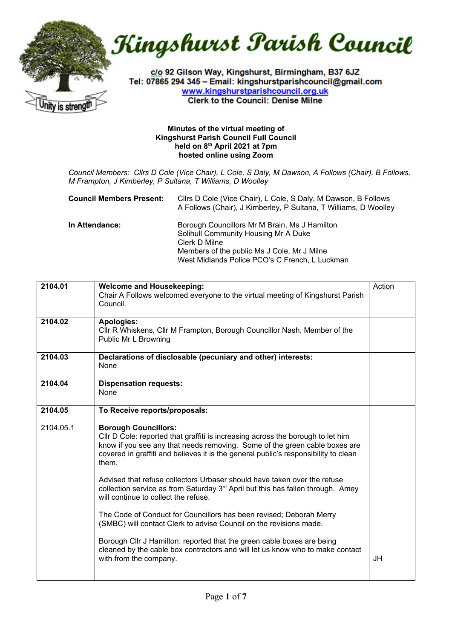

Kingshurst Parish Council

c/o 92 Gilson Way, Kingshurst, Birmingham, B37 6JZ Tel: 07865 294 345 - Email: kingshurstparishcouncil@gmail.com www.kingshurstparishcouncil.org.uk **Clerk to the Council: Denise Milne** 

## **Minutes of the virtual meeting of Kingshurst Parish Council Full Council held on 8th April 2021 at 7pm hosted online using Zoom**

*Council Members: Cllrs D Cole (Vice Chair), L Cole, S Daly, M Dawson, A Follows (Chair), B Follows, M Frampton, J Kimberley, P Sultana, T Williams, D Woolley*

| <b>Council Members Present:</b> | Cllrs D Cole (Vice Chair), L Cole, S Daly, M Dawson, B Follows<br>A Follows (Chair), J Kimberley, P Sultana, T Williams, D Woolley                                                                      |
|---------------------------------|---------------------------------------------------------------------------------------------------------------------------------------------------------------------------------------------------------|
| In Attendance:                  | Borough Councillors Mr M Brain, Ms J Hamilton<br>Solihull Community Housing Mr A Duke<br>Clerk D Milne<br>Members of the public Ms J Cole, Mr J Milne<br>West Midlands Police PCO's C French, L Luckman |

| 2104.01   | <b>Welcome and Housekeeping:</b><br>Chair A Follows welcomed everyone to the virtual meeting of Kingshurst Parish<br>Council.                                                                                                                                                                | Action |
|-----------|----------------------------------------------------------------------------------------------------------------------------------------------------------------------------------------------------------------------------------------------------------------------------------------------|--------|
| 2104.02   | <b>Apologies:</b><br>CIIr R Whiskens, CIIr M Frampton, Borough Councillor Nash, Member of the<br>Public Mr L Browning                                                                                                                                                                        |        |
| 2104.03   | Declarations of disclosable (pecuniary and other) interests:<br>None                                                                                                                                                                                                                         |        |
| 2104.04   | <b>Dispensation requests:</b><br>None                                                                                                                                                                                                                                                        |        |
| 2104.05   | To Receive reports/proposals:                                                                                                                                                                                                                                                                |        |
| 2104.05.1 | <b>Borough Councillors:</b><br>Cllr D Cole: reported that graffiti is increasing across the borough to let him<br>know if you see any that needs removing. Some of the green cable boxes are<br>covered in graffiti and believes it is the general public's responsibility to clean<br>them. |        |
|           | Advised that refuse collectors Urbaser should have taken over the refuse<br>collection service as from Saturday 3 <sup>rd</sup> April but this has fallen through. Amey<br>will continue to collect the refuse.                                                                              |        |
|           | The Code of Conduct for Councillors has been revised; Deborah Merry<br>(SMBC) will contact Clerk to advise Council on the revisions made.                                                                                                                                                    |        |
|           | Borough Cllr J Hamilton: reported that the green cable boxes are being<br>cleaned by the cable box contractors and will let us know who to make contact<br>with from the company.                                                                                                            | JH     |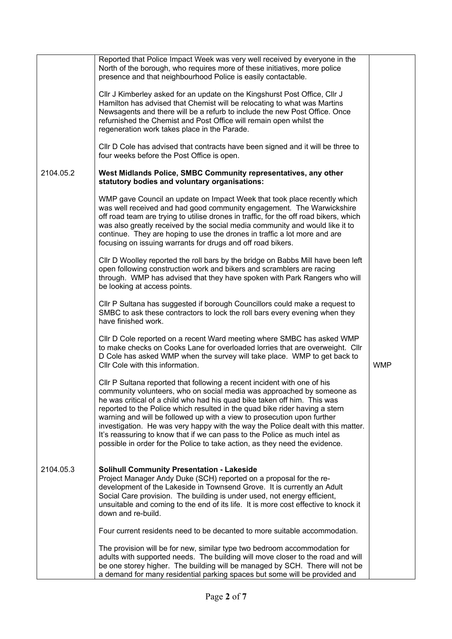|           | Reported that Police Impact Week was very well received by everyone in the<br>North of the borough, who requires more of these initiatives, more police<br>presence and that neighbourhood Police is easily contactable.                                                                                                                                                                                                                                                                                                                                                                                                                  |            |
|-----------|-------------------------------------------------------------------------------------------------------------------------------------------------------------------------------------------------------------------------------------------------------------------------------------------------------------------------------------------------------------------------------------------------------------------------------------------------------------------------------------------------------------------------------------------------------------------------------------------------------------------------------------------|------------|
|           | Cllr J Kimberley asked for an update on the Kingshurst Post Office, Cllr J<br>Hamilton has advised that Chemist will be relocating to what was Martins<br>Newsagents and there will be a refurb to include the new Post Office. Once<br>refurnished the Chemist and Post Office will remain open whilst the<br>regeneration work takes place in the Parade.                                                                                                                                                                                                                                                                               |            |
|           | CIIr D Cole has advised that contracts have been signed and it will be three to<br>four weeks before the Post Office is open.                                                                                                                                                                                                                                                                                                                                                                                                                                                                                                             |            |
| 2104.05.2 | West Midlands Police, SMBC Community representatives, any other<br>statutory bodies and voluntary organisations:                                                                                                                                                                                                                                                                                                                                                                                                                                                                                                                          |            |
|           | WMP gave Council an update on Impact Week that took place recently which<br>was well received and had good community engagement. The Warwickshire<br>off road team are trying to utilise drones in traffic, for the off road bikers, which<br>was also greatly received by the social media community and would like it to<br>continue. They are hoping to use the drones in traffic a lot more and are<br>focusing on issuing warrants for drugs and off road bikers.                                                                                                                                                                    |            |
|           | CIIr D Woolley reported the roll bars by the bridge on Babbs Mill have been left<br>open following construction work and bikers and scramblers are racing<br>through. WMP has advised that they have spoken with Park Rangers who will<br>be looking at access points.                                                                                                                                                                                                                                                                                                                                                                    |            |
|           | CIIr P Sultana has suggested if borough Councillors could make a request to<br>SMBC to ask these contractors to lock the roll bars every evening when they<br>have finished work.                                                                                                                                                                                                                                                                                                                                                                                                                                                         |            |
|           | CIIr D Cole reported on a recent Ward meeting where SMBC has asked WMP<br>to make checks on Cooks Lane for overloaded lorries that are overweight. Cllr<br>D Cole has asked WMP when the survey will take place. WMP to get back to<br>Cllr Cole with this information.                                                                                                                                                                                                                                                                                                                                                                   | <b>WMP</b> |
|           | CIIr P Sultana reported that following a recent incident with one of his<br>community volunteers, who on social media was approached by someone as<br>he was critical of a child who had his quad bike taken off him. This was<br>reported to the Police which resulted in the quad bike rider having a stern<br>warning and will be followed up with a view to prosecution upon further<br>investigation. He was very happy with the way the Police dealt with this matter.<br>It's reassuring to know that if we can pass to the Police as much intel as<br>possible in order for the Police to take action, as they need the evidence. |            |
| 2104.05.3 | <b>Solihull Community Presentation - Lakeside</b><br>Project Manager Andy Duke (SCH) reported on a proposal for the re-<br>development of the Lakeside in Townsend Grove. It is currently an Adult<br>Social Care provision. The building is under used, not energy efficient,<br>unsuitable and coming to the end of its life. It is more cost effective to knock it<br>down and re-build.                                                                                                                                                                                                                                               |            |
|           | Four current residents need to be decanted to more suitable accommodation.                                                                                                                                                                                                                                                                                                                                                                                                                                                                                                                                                                |            |
|           | The provision will be for new, similar type two bedroom accommodation for<br>adults with supported needs. The building will move closer to the road and will<br>be one storey higher. The building will be managed by SCH. There will not be<br>a demand for many residential parking spaces but some will be provided and                                                                                                                                                                                                                                                                                                                |            |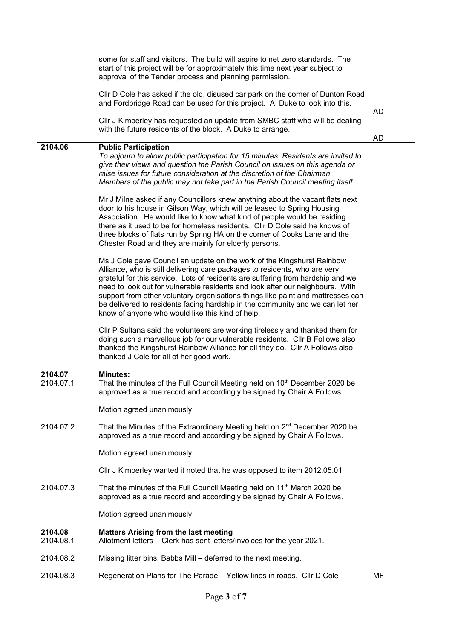|                      | some for staff and visitors. The build will aspire to net zero standards. The<br>start of this project will be for approximately this time next year subject to                                                                                                                                                                                                                                                                                                                                                                                  |           |
|----------------------|--------------------------------------------------------------------------------------------------------------------------------------------------------------------------------------------------------------------------------------------------------------------------------------------------------------------------------------------------------------------------------------------------------------------------------------------------------------------------------------------------------------------------------------------------|-----------|
|                      | approval of the Tender process and planning permission.                                                                                                                                                                                                                                                                                                                                                                                                                                                                                          |           |
|                      | CIIr D Cole has asked if the old, disused car park on the corner of Dunton Road<br>and Fordbridge Road can be used for this project. A. Duke to look into this.                                                                                                                                                                                                                                                                                                                                                                                  |           |
|                      | Cllr J Kimberley has requested an update from SMBC staff who will be dealing<br>with the future residents of the block. A Duke to arrange.                                                                                                                                                                                                                                                                                                                                                                                                       | AD        |
|                      |                                                                                                                                                                                                                                                                                                                                                                                                                                                                                                                                                  | <b>AD</b> |
| 2104.06              | <b>Public Participation</b><br>To adjourn to allow public participation for 15 minutes. Residents are invited to<br>give their views and question the Parish Council on issues on this agenda or<br>raise issues for future consideration at the discretion of the Chairman.<br>Members of the public may not take part in the Parish Council meeting itself.                                                                                                                                                                                    |           |
|                      | Mr J Milne asked if any Councillors knew anything about the vacant flats next<br>door to his house in Gilson Way, which will be leased to Spring Housing<br>Association. He would like to know what kind of people would be residing<br>there as it used to be for homeless residents. Cllr D Cole said he knows of<br>three blocks of flats run by Spring HA on the corner of Cooks Lane and the<br>Chester Road and they are mainly for elderly persons.                                                                                       |           |
|                      | Ms J Cole gave Council an update on the work of the Kingshurst Rainbow<br>Alliance, who is still delivering care packages to residents, who are very<br>grateful for this service. Lots of residents are suffering from hardship and we<br>need to look out for vulnerable residents and look after our neighbours. With<br>support from other voluntary organisations things like paint and mattresses can<br>be delivered to residents facing hardship in the community and we can let her<br>know of anyone who would like this kind of help. |           |
|                      | CIIr P Sultana said the volunteers are working tirelessly and thanked them for<br>doing such a marvellous job for our vulnerable residents. Cllr B Follows also<br>thanked the Kingshurst Rainbow Alliance for all they do. Cllr A Follows also<br>thanked J Cole for all of her good work.                                                                                                                                                                                                                                                      |           |
| 2104.07<br>2104.07.1 | <b>Minutes:</b><br>That the minutes of the Full Council Meeting held on 10 <sup>th</sup> December 2020 be<br>approved as a true record and accordingly be signed by Chair A Follows.                                                                                                                                                                                                                                                                                                                                                             |           |
|                      | Motion agreed unanimously.                                                                                                                                                                                                                                                                                                                                                                                                                                                                                                                       |           |
| 2104.07.2            | That the Minutes of the Extraordinary Meeting held on 2 <sup>nd</sup> December 2020 be<br>approved as a true record and accordingly be signed by Chair A Follows.                                                                                                                                                                                                                                                                                                                                                                                |           |
|                      | Motion agreed unanimously.                                                                                                                                                                                                                                                                                                                                                                                                                                                                                                                       |           |
|                      | Cllr J Kimberley wanted it noted that he was opposed to item 2012.05.01                                                                                                                                                                                                                                                                                                                                                                                                                                                                          |           |
| 2104.07.3            | That the minutes of the Full Council Meeting held on 11 <sup>th</sup> March 2020 be<br>approved as a true record and accordingly be signed by Chair A Follows.                                                                                                                                                                                                                                                                                                                                                                                   |           |
|                      | Motion agreed unanimously.                                                                                                                                                                                                                                                                                                                                                                                                                                                                                                                       |           |
| 2104.08<br>2104.08.1 | <b>Matters Arising from the last meeting</b><br>Allotment letters - Clerk has sent letters/Invoices for the year 2021.                                                                                                                                                                                                                                                                                                                                                                                                                           |           |
| 2104.08.2            | Missing litter bins, Babbs Mill – deferred to the next meeting.                                                                                                                                                                                                                                                                                                                                                                                                                                                                                  |           |
| 2104.08.3            | Regeneration Plans for The Parade - Yellow lines in roads. Cllr D Cole                                                                                                                                                                                                                                                                                                                                                                                                                                                                           | MF        |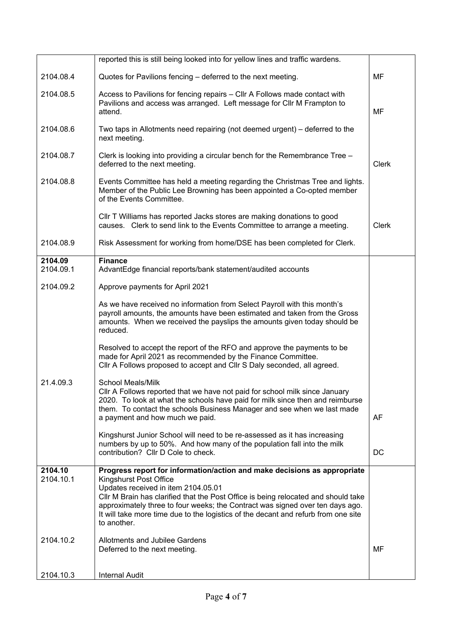|                      | reported this is still being looked into for yellow lines and traffic wardens.                                                                                                                                                                                                                                                                                                                                               |              |
|----------------------|------------------------------------------------------------------------------------------------------------------------------------------------------------------------------------------------------------------------------------------------------------------------------------------------------------------------------------------------------------------------------------------------------------------------------|--------------|
| 2104.08.4            | Quotes for Pavilions fencing - deferred to the next meeting.                                                                                                                                                                                                                                                                                                                                                                 | MF           |
| 2104.08.5            | Access to Pavilions for fencing repairs - Cllr A Follows made contact with<br>Pavilions and access was arranged. Left message for Cllr M Frampton to<br>attend.                                                                                                                                                                                                                                                              | MF           |
| 2104.08.6            | Two taps in Allotments need repairing (not deemed urgent) – deferred to the<br>next meeting.                                                                                                                                                                                                                                                                                                                                 |              |
| 2104.08.7            | Clerk is looking into providing a circular bench for the Remembrance Tree -<br>deferred to the next meeting.                                                                                                                                                                                                                                                                                                                 | <b>Clerk</b> |
| 2104.08.8            | Events Committee has held a meeting regarding the Christmas Tree and lights.<br>Member of the Public Lee Browning has been appointed a Co-opted member<br>of the Events Committee.                                                                                                                                                                                                                                           |              |
|                      | CIIr T Williams has reported Jacks stores are making donations to good<br>causes. Clerk to send link to the Events Committee to arrange a meeting.                                                                                                                                                                                                                                                                           | Clerk        |
| 2104.08.9            | Risk Assessment for working from home/DSE has been completed for Clerk.                                                                                                                                                                                                                                                                                                                                                      |              |
| 2104.09<br>2104.09.1 | <b>Finance</b><br>AdvantEdge financial reports/bank statement/audited accounts                                                                                                                                                                                                                                                                                                                                               |              |
| 2104.09.2            | Approve payments for April 2021                                                                                                                                                                                                                                                                                                                                                                                              |              |
|                      | As we have received no information from Select Payroll with this month's<br>payroll amounts, the amounts have been estimated and taken from the Gross<br>amounts. When we received the payslips the amounts given today should be<br>reduced.                                                                                                                                                                                |              |
|                      | Resolved to accept the report of the RFO and approve the payments to be<br>made for April 2021 as recommended by the Finance Committee.<br>Cllr A Follows proposed to accept and Cllr S Daly seconded, all agreed.                                                                                                                                                                                                           |              |
| 21.4.09.3            | <b>School Meals/Milk</b><br>CIIr A Follows reported that we have not paid for school milk since January<br>2020. To look at what the schools have paid for milk since then and reimburse<br>them. To contact the schools Business Manager and see when we last made<br>a payment and how much we paid.                                                                                                                       | AF           |
|                      | Kingshurst Junior School will need to be re-assessed as it has increasing<br>numbers by up to 50%. And how many of the population fall into the milk<br>contribution? Cllr D Cole to check.                                                                                                                                                                                                                                  | DC           |
| 2104.10<br>2104.10.1 | Progress report for information/action and make decisions as appropriate<br><b>Kingshurst Post Office</b><br>Updates received in item 2104.05.01<br>CIIr M Brain has clarified that the Post Office is being relocated and should take<br>approximately three to four weeks; the Contract was signed over ten days ago.<br>It will take more time due to the logistics of the decant and refurb from one site<br>to another. |              |
| 2104.10.2            | <b>Allotments and Jubilee Gardens</b><br>Deferred to the next meeting.                                                                                                                                                                                                                                                                                                                                                       | MF           |
| 2104.10.3            | <b>Internal Audit</b>                                                                                                                                                                                                                                                                                                                                                                                                        |              |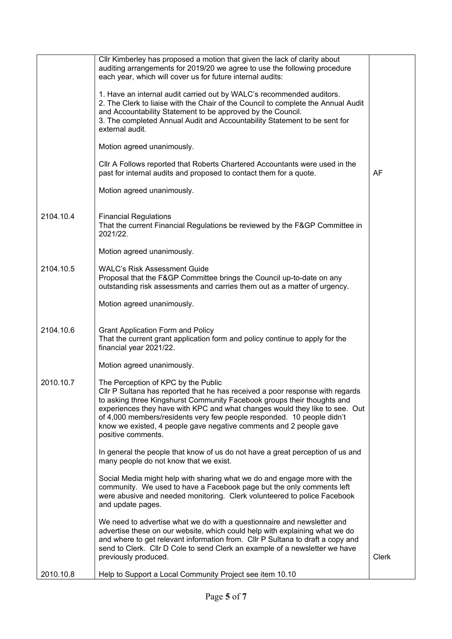|           | Cllr Kimberley has proposed a motion that given the lack of clarity about<br>auditing arrangements for 2019/20 we agree to use the following procedure<br>each year, which will cover us for future internal audits:                                                                                                                                                                                                                                 |       |
|-----------|------------------------------------------------------------------------------------------------------------------------------------------------------------------------------------------------------------------------------------------------------------------------------------------------------------------------------------------------------------------------------------------------------------------------------------------------------|-------|
|           | 1. Have an internal audit carried out by WALC's recommended auditors.<br>2. The Clerk to liaise with the Chair of the Council to complete the Annual Audit<br>and Accountability Statement to be approved by the Council.<br>3. The completed Annual Audit and Accountability Statement to be sent for<br>external audit.                                                                                                                            |       |
|           | Motion agreed unanimously.                                                                                                                                                                                                                                                                                                                                                                                                                           |       |
|           | CIIr A Follows reported that Roberts Chartered Accountants were used in the<br>past for internal audits and proposed to contact them for a quote.                                                                                                                                                                                                                                                                                                    | AF    |
|           | Motion agreed unanimously.                                                                                                                                                                                                                                                                                                                                                                                                                           |       |
| 2104.10.4 | <b>Financial Regulations</b><br>That the current Financial Regulations be reviewed by the F&GP Committee in<br>2021/22.                                                                                                                                                                                                                                                                                                                              |       |
|           | Motion agreed unanimously.                                                                                                                                                                                                                                                                                                                                                                                                                           |       |
| 2104.10.5 | <b>WALC's Risk Assessment Guide</b><br>Proposal that the F&GP Committee brings the Council up-to-date on any<br>outstanding risk assessments and carries them out as a matter of urgency.                                                                                                                                                                                                                                                            |       |
|           | Motion agreed unanimously.                                                                                                                                                                                                                                                                                                                                                                                                                           |       |
| 2104.10.6 | <b>Grant Application Form and Policy</b><br>That the current grant application form and policy continue to apply for the<br>financial year 2021/22.                                                                                                                                                                                                                                                                                                  |       |
|           | Motion agreed unanimously.                                                                                                                                                                                                                                                                                                                                                                                                                           |       |
| 2010.10.7 | The Perception of KPC by the Public<br>CIIr P Sultana has reported that he has received a poor response with regards<br>to asking three Kingshurst Community Facebook groups their thoughts and<br>experiences they have with KPC and what changes would they like to see. Out<br>of 4,000 members/residents very few people responded. 10 people didn't<br>know we existed, 4 people gave negative comments and 2 people gave<br>positive comments. |       |
|           | In general the people that know of us do not have a great perception of us and<br>many people do not know that we exist.                                                                                                                                                                                                                                                                                                                             |       |
|           | Social Media might help with sharing what we do and engage more with the<br>community. We used to have a Facebook page but the only comments left<br>were abusive and needed monitoring. Clerk volunteered to police Facebook<br>and update pages.                                                                                                                                                                                                   |       |
|           | We need to advertise what we do with a questionnaire and newsletter and<br>advertise these on our website, which could help with explaining what we do<br>and where to get relevant information from. Cllr P Sultana to draft a copy and<br>send to Clerk. Cllr D Cole to send Clerk an example of a newsletter we have<br>previously produced.                                                                                                      | Clerk |
| 2010.10.8 | Help to Support a Local Community Project see item 10.10                                                                                                                                                                                                                                                                                                                                                                                             |       |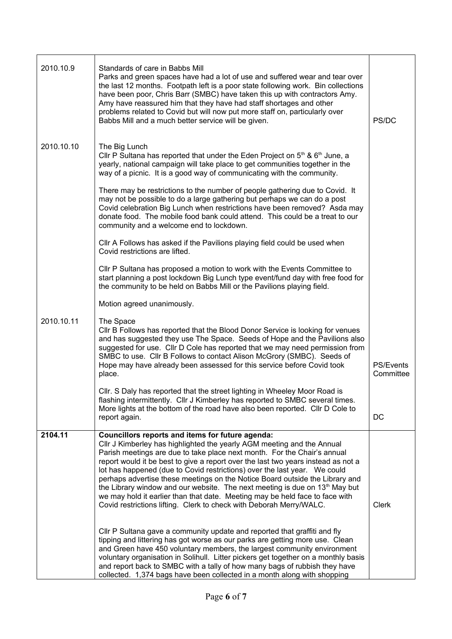| 2010.10.9  | Standards of care in Babbs Mill<br>Parks and green spaces have had a lot of use and suffered wear and tear over<br>the last 12 months. Footpath left is a poor state following work. Bin collections<br>have been poor, Chris Barr (SMBC) have taken this up with contractors Amy.<br>Amy have reassured him that they have had staff shortages and other<br>problems related to Covid but will now put more staff on, particularly over<br>Babbs Mill and a much better service will be given.                                                                                                                                                                                                            | PS/DC                  |
|------------|------------------------------------------------------------------------------------------------------------------------------------------------------------------------------------------------------------------------------------------------------------------------------------------------------------------------------------------------------------------------------------------------------------------------------------------------------------------------------------------------------------------------------------------------------------------------------------------------------------------------------------------------------------------------------------------------------------|------------------------|
| 2010.10.10 | The Big Lunch<br>Cllr P Sultana has reported that under the Eden Project on $5th$ & $6th$ June, a<br>yearly, national campaign will take place to get communities together in the<br>way of a picnic. It is a good way of communicating with the community.                                                                                                                                                                                                                                                                                                                                                                                                                                                |                        |
|            | There may be restrictions to the number of people gathering due to Covid. It<br>may not be possible to do a large gathering but perhaps we can do a post<br>Covid celebration Big Lunch when restrictions have been removed? Asda may<br>donate food. The mobile food bank could attend. This could be a treat to our<br>community and a welcome end to lockdown.                                                                                                                                                                                                                                                                                                                                          |                        |
|            | CIIr A Follows has asked if the Pavilions playing field could be used when<br>Covid restrictions are lifted.                                                                                                                                                                                                                                                                                                                                                                                                                                                                                                                                                                                               |                        |
|            | CIIr P Sultana has proposed a motion to work with the Events Committee to<br>start planning a post lockdown Big Lunch type event/fund day with free food for<br>the community to be held on Babbs Mill or the Pavilions playing field.                                                                                                                                                                                                                                                                                                                                                                                                                                                                     |                        |
|            | Motion agreed unanimously.                                                                                                                                                                                                                                                                                                                                                                                                                                                                                                                                                                                                                                                                                 |                        |
| 2010.10.11 | The Space<br>CIIr B Follows has reported that the Blood Donor Service is looking for venues<br>and has suggested they use The Space. Seeds of Hope and the Pavilions also<br>suggested for use. Cllr D Cole has reported that we may need permission from<br>SMBC to use. Cllr B Follows to contact Alison McGrory (SMBC). Seeds of<br>Hope may have already been assessed for this service before Covid took<br>place.                                                                                                                                                                                                                                                                                    | PS/Events<br>Committee |
|            | CIIr. S Daly has reported that the street lighting in Wheeley Moor Road is<br>flashing intermittently. Cllr J Kimberley has reported to SMBC several times.<br>More lights at the bottom of the road have also been reported. Cllr D Cole to<br>report again.                                                                                                                                                                                                                                                                                                                                                                                                                                              | DC                     |
| 2104.11    | Councillors reports and items for future agenda:<br>CIIr J Kimberley has highlighted the yearly AGM meeting and the Annual<br>Parish meetings are due to take place next month. For the Chair's annual<br>report would it be best to give a report over the last two years instead as not a<br>lot has happened (due to Covid restrictions) over the last year. We could<br>perhaps advertise these meetings on the Notice Board outside the Library and<br>the Library window and our website. The next meeting is due on 13 <sup>th</sup> May but<br>we may hold it earlier than that date. Meeting may be held face to face with<br>Covid restrictions lifting. Clerk to check with Deborah Merry/WALC. | Clerk                  |
|            | Cllr P Sultana gave a community update and reported that graffiti and fly<br>tipping and littering has got worse as our parks are getting more use. Clean<br>and Green have 450 voluntary members, the largest community environment<br>voluntary organisation in Solihull. Litter pickers get together on a monthly basis<br>and report back to SMBC with a tally of how many bags of rubbish they have<br>collected. 1,374 bags have been collected in a month along with shopping                                                                                                                                                                                                                       |                        |